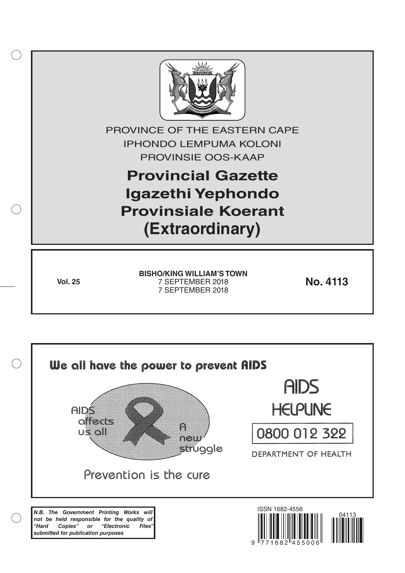

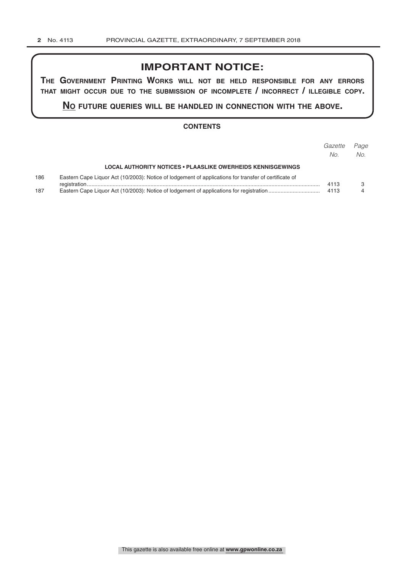# **IMPORTANT NOTICE:**

**The GovernmenT PrinTinG Works Will noT be held resPonsible for any errors ThaT miGhT occur due To The submission of incomPleTe / incorrecT / illeGible coPy.**

**no fuTure queries Will be handled in connecTion WiTh The above.**

# **CONTENTS**

|     |                                                                                                       | Gazette<br>No. | Page<br>No. |  |
|-----|-------------------------------------------------------------------------------------------------------|----------------|-------------|--|
|     | <b>LOCAL AUTHORITY NOTICES • PLAASLIKE OWERHEIDS KENNISGEWINGS</b>                                    |                |             |  |
| 186 | Eastern Cape Liquor Act (10/2003): Notice of lodgement of applications for transfer of certificate of | 4113           |             |  |
| 187 |                                                                                                       |                |             |  |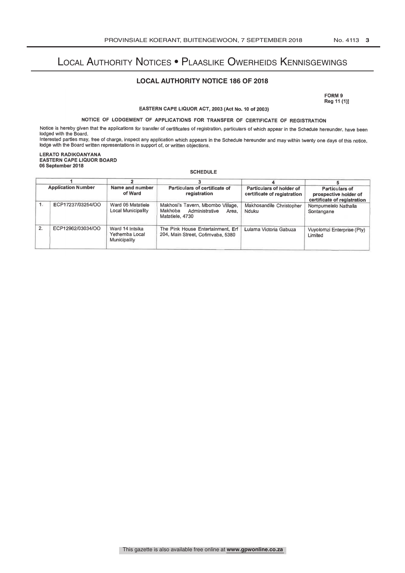# Local Authority Notices • Plaaslike Owerheids Kennisgewings

## **LOCAL AUTHORITY NOTICE 186 OF 2018**

FORM 9 Reg 11 (1)]

#### EASTERN CAPE LIQUOR ACT, 2003 (Act No. 10 of 2003)

### NOTICE OF LODGEMENT OF APPLICATIONS FOR TRANSFER OF CERTIFICATE OF REGISTRATION

Notice is hereby given that the applications for transfer of certificates of registration, particulars of which appear in the Schedule hereunder, have been lodged with the Board.

Interested parties may, free of charge, inspect any application which appears in the Schedule hereunder and may within twenty one days of this notice, lodge with the Board written representations in support of, or written objections.

#### LERATO RADIKOANYANA EASTERN CAPE LIQUOR BOARD 06 September 2018

SCHEDULE

| <b>Application Number</b> |                   |                                                                             |                                                                                            |                                                         |                                                                               |
|---------------------------|-------------------|-----------------------------------------------------------------------------|--------------------------------------------------------------------------------------------|---------------------------------------------------------|-------------------------------------------------------------------------------|
|                           |                   | Name and number<br>Particulars of certificate of<br>of Ward<br>registration |                                                                                            | Particulars of holder of<br>certificate of registration | <b>Particulars of</b><br>prospective holder of<br>certificate of registration |
|                           | ECP17237/03254/OO | Ward 05 Matatiele<br>Local Municipality                                     | Makhosi's Tavern, Mbombo Village,<br>Makhoba<br>Administrative<br>Area.<br>Matatiele, 4730 | Makhosandile Christopher<br>Nduku                       | Nompumelelo Nathalia<br>Sontangane                                            |
| $\overline{2}$            | ECP12962/03034/OO | Ward 14 Intsika<br>Yethemba Local<br>Municipality                           | The Pink House Entertainment, Erf<br>204, Main Street, Cofimyaba, 5380                     | Lulama Victoria Gabuza                                  | Vuyolomzi Enterprise (Pty)<br>Limited                                         |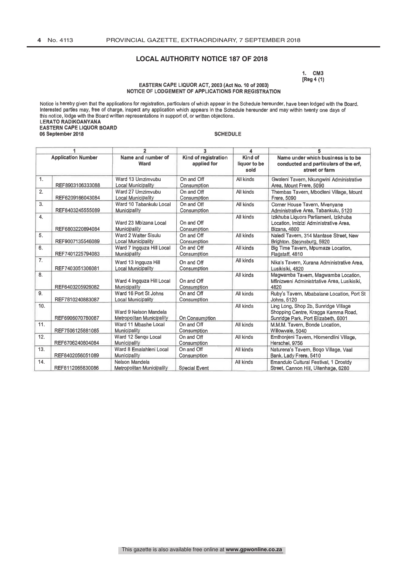# **LOCAL AUTHORITY NOTICE 187 OF 2018**

1. CM3 [Reg 4 (1)

#### EASTERN CAPE LIQUOR ACT, 2003 (Act No. 10 of 2003) NOTICE OF LODGEMENT OF APPLICATIONS FOR REGISTRATION

Notice is hereby given that the applications for registration, particulars of which appear in the Schedule hereunder, have been lodged with the Board. Interested parties may, free of charge, inspect any application which appears in the Schedule hereunder and may within twenty one days of this notice, lodge with the Board written representations in support of, or written objections. LERATO RADIKOANYANA EASTERN CAPE LIQUOR BOARD 06 September 2018 SCHEDULE

|                           |                  | $\overline{2}$                                            | 3                                   | 4                               | 5                                                                                                                  |
|---------------------------|------------------|-----------------------------------------------------------|-------------------------------------|---------------------------------|--------------------------------------------------------------------------------------------------------------------|
| <b>Application Number</b> |                  | Name and number of<br>Ward                                | Kind of registration<br>applied for | Kind of<br>liquor to be<br>sold | Name under which business is to be<br>conducted and particulars of the erf,<br>street or farm                      |
| 1.                        | REF8903106333088 | Ward 13 Umzimvubu<br>Local Municipality                   | On and Off<br>Consumption           | All kinds                       | Gwaleni Tavern, Nkungwini Administrative<br>Area, Mount Frere, 5090                                                |
| 2.                        | REF6209166043084 | Ward 27 Umzimvubu<br><b>Local Municipality</b>            | On and Off<br>Consumption           | All kinds                       | Thembas Tavern, Mbodleni Village, Mount<br>Frere, 5090                                                             |
| 3.                        | REF8403245555089 | Ward 10 Tabankulu Local<br>Municipality                   | On and Off<br>Consumption           | All kinds                       | Corner House Tavern, Mvenyane<br>Administrative Area, Tabankulu, 5120                                              |
| 4.                        | REF6803220894084 | Ward 23 Mbizana Local<br>Municipality                     | On and Off<br>Consumption           | All kinds                       | Izikhuba Liquors Parliament, Izikhuba<br>Location, Imizizi Administrative Area,<br>Bizana, 4800                    |
| 5.                        | REF9007135546089 | Ward 2 Walter Sisulu<br><b>Local Municipality</b>         | On and Off<br>Consumption           | All kinds                       | Naledi Tavern, 314 Mantase Street, New<br>Brighton, Steynsburg, 5920                                               |
| 6.                        | REF7401225794083 | Ward 7 Ingquza Hill Local<br>Municipality                 | On and Off<br>Consumption           | All kinds                       | Big Time Tavern, Mpumaze Location,<br>Flagstaff, 4810                                                              |
| 7.                        | REF7403051306081 | Ward 13 Ingquza Hill<br><b>Local Municipality</b>         | On and Off<br>Consumption           | All kinds                       | Nika's Tavern, Xurana Administrative Area,<br>Lusikisiki, 4820                                                     |
| 8.                        | REF6403205926082 | Ward 4 Ingquza Hill Local<br>Municipality                 | On and Off<br>Consumption           | All kinds                       | Magwamba Tavern, Magwamba Location,<br>Mfinizweni Administrtative Area, Lusikisiki,<br>4820                        |
| 9.                        | REF7810240883087 | Ward 16 Port St Johns<br><b>Local Municipality</b>        | On and Off<br>Consumption           | All kinds                       | Ruby's Tavern, Mbabalane Location, Port St<br>Johns, 5120                                                          |
| 10.                       | REF6906070780087 | Ward 9 Nelson Mandela<br><b>Metropolitan Municipality</b> | On Consumption                      | All kinds                       | Ling Long, Shop 2b, Sunridge Village<br>Shopping Centre, Kragga Kamma Road,<br>Sunridge Park, Port Elizabeth, 6001 |
| 11.                       | REF7506125881085 | Ward 11 Mbashe Local<br>Municipality                      | On and Off<br><b>Consumption</b>    | All kinds                       | M.M.M. Tavern, Bonde Location,<br>Willowvale, 5040                                                                 |
| 12.                       | REF6706240804084 | Ward 12 Sengu Local<br>Municipality                       | On and Off<br>Consumption           | All kinds                       | Emthonjeni Tavern, Hlomendlini Village,<br>Herschel, 9756                                                          |
| 13.                       | REF8402056051089 | Ward 8 Emalahleni Local<br>Municipality                   | On and Off<br>Consumption           | All kinds                       | Naturena's Tavern, Bogo Village, Vaal<br>Bank, Lady Frere, 5410                                                    |
| 14.                       | REF8112065830086 | Nelson Mandela<br>Metropolitan Municipality               | <b>Special Event</b>                | All kinds                       | Emandulo Cultural Festival, 1 Drostdy<br>Street, Cannon Hill, Uitenhage, 6280                                      |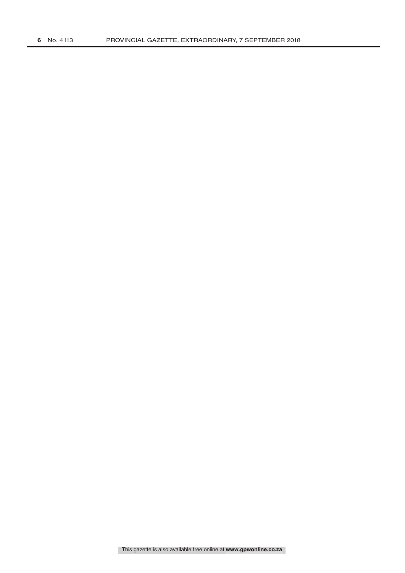This gazette is also available free online at **www.gpwonline.co.za**